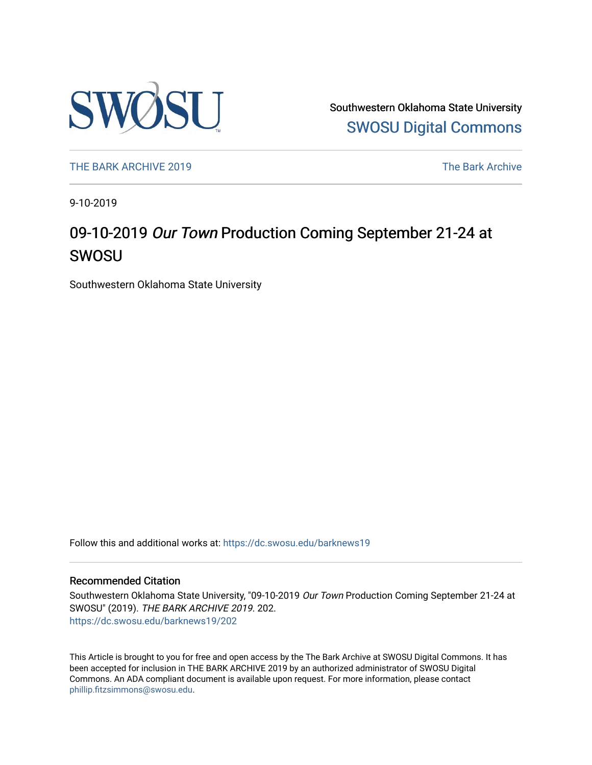

Southwestern Oklahoma State University [SWOSU Digital Commons](https://dc.swosu.edu/) 

[THE BARK ARCHIVE 2019](https://dc.swosu.edu/barknews19) The Bark Archive

9-10-2019

## 09-10-2019 Our Town Production Coming September 21-24 at SWOSU

Southwestern Oklahoma State University

Follow this and additional works at: [https://dc.swosu.edu/barknews19](https://dc.swosu.edu/barknews19?utm_source=dc.swosu.edu%2Fbarknews19%2F202&utm_medium=PDF&utm_campaign=PDFCoverPages)

#### Recommended Citation

Southwestern Oklahoma State University, "09-10-2019 Our Town Production Coming September 21-24 at SWOSU" (2019). THE BARK ARCHIVE 2019. 202. [https://dc.swosu.edu/barknews19/202](https://dc.swosu.edu/barknews19/202?utm_source=dc.swosu.edu%2Fbarknews19%2F202&utm_medium=PDF&utm_campaign=PDFCoverPages)

This Article is brought to you for free and open access by the The Bark Archive at SWOSU Digital Commons. It has been accepted for inclusion in THE BARK ARCHIVE 2019 by an authorized administrator of SWOSU Digital Commons. An ADA compliant document is available upon request. For more information, please contact [phillip.fitzsimmons@swosu.edu](mailto:phillip.fitzsimmons@swosu.edu).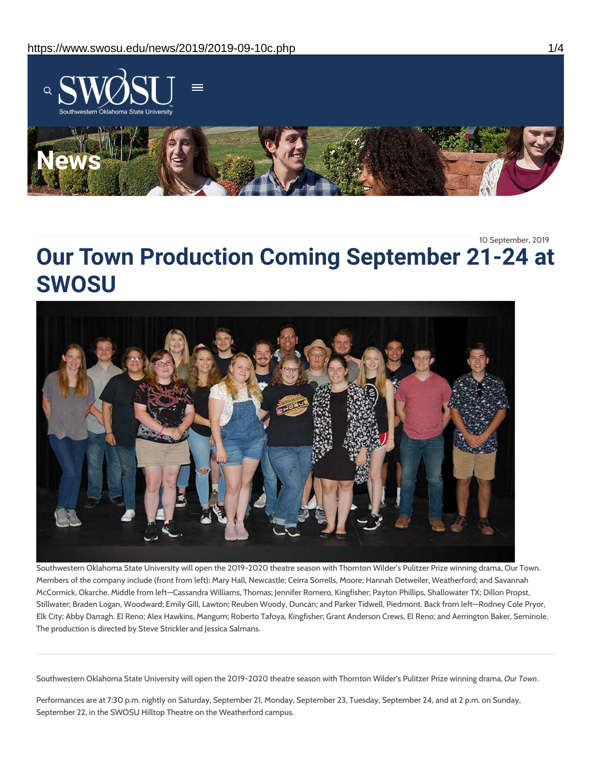

10 September, 2019

# **Our Town Production Coming September 21-24 at SWOSU**



Southwestern Oklahoma State University will open the 2019-2020 theatre season with Thornton Wilder's Pulitzer Prize winning drama, Our Town. Members of the company include (front from left): Mary Hall, Newcastle; Ceirra Sorrells, Moore; Hannah Detweiler, Weatherford; and Savannah McCormick, Okarche. Middle from left—Cassandra Williams, Thomas; Jennifer Romero, Kingfisher; Payton Phillips, Shallowater TX; Dillon Propst, Stillwater; Braden Logan, Woodward; Emily Gill, Lawton; Reuben Woody, Duncan; and Parker Tidwell, Piedmont. Back from left—Rodney Cole Pryor, Elk City; Abby Darragh. El Reno; Alex Hawkins, Mangum; Roberto Tafoya, Kingfisher; Grant Anderson Crews, El Reno; and Aerrington Baker, Seminole. The production is directed by Steve Strickler and Jessica Salmans.

Southwestern Oklahoma State University will open the 2019-2020 theatre season with Thornton Wilder's Pulitzer Prize winning drama, *Our Town*.

Performances are at 7:30 p.m. nightly on Saturday, September 21, Monday, September 23, Tuesday, September 24, and at 2 p.m. on Sunday, September 22, in the SWOSU Hilltop Theatre on the Weatherford campus.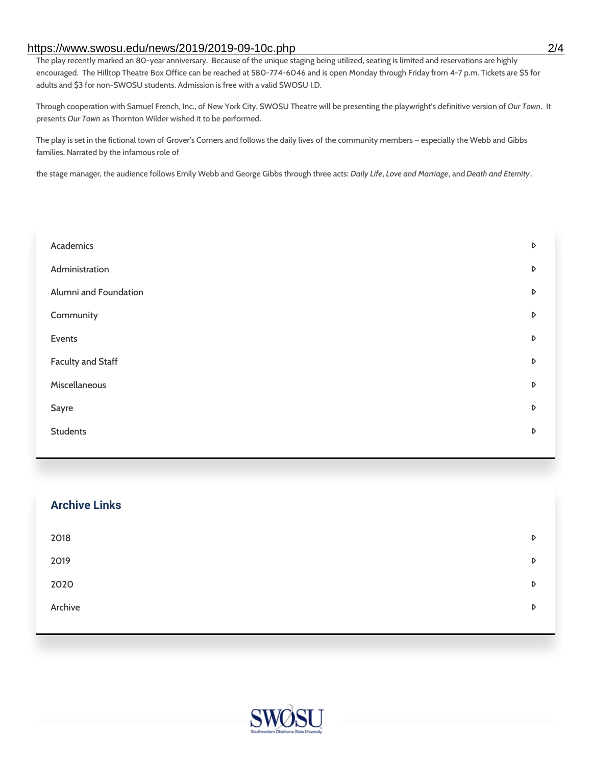#### https://www.swosu.edu/news/2019/2019-09-10c.php 2/4

The play recently marked an 80-year anniversary. Because of the unique staging being utilized, seating is limited and reservations are highly encouraged. The Hilltop Theatre Box Office can be reached at 580-774-6046 and is open Monday through Friday from 4-7 p.m. Tickets are \$5 for adults and \$3 for non-SWOSU students. Admission is free with a valid SWOSU I.D.

Through cooperation with Samuel French, Inc., of New York City, SWOSU Theatre will be presenting the playwright's definitive version of *Our Town*. It presents *Our Town* as Thornton Wilder wished it to be performed.

The play is set in the fictional town of Grover's Corners and follows the daily lives of the community members – especially the Webb and Gibbs families. Narrated by the infamous role of

the stage manager, the audience follows Emily Webb and George Gibbs through three acts: *Daily Life*, *Love and Marriage*, and*Death and Eternity*.

| Academics                | D                |
|--------------------------|------------------|
| Administration           | D                |
| Alumni and Foundation    | D                |
| Community                | $\triangleright$ |
| Events                   | D                |
| <b>Faculty and Staff</b> | D                |
| Miscellaneous            | D                |
| Sayre                    | D                |
| <b>Students</b>          | D                |
|                          |                  |

| <b>Archive Links</b> |   |
|----------------------|---|
| 2018                 | D |
| 2019                 | D |
| 2020                 | D |
| Archive              | D |
|                      |   |

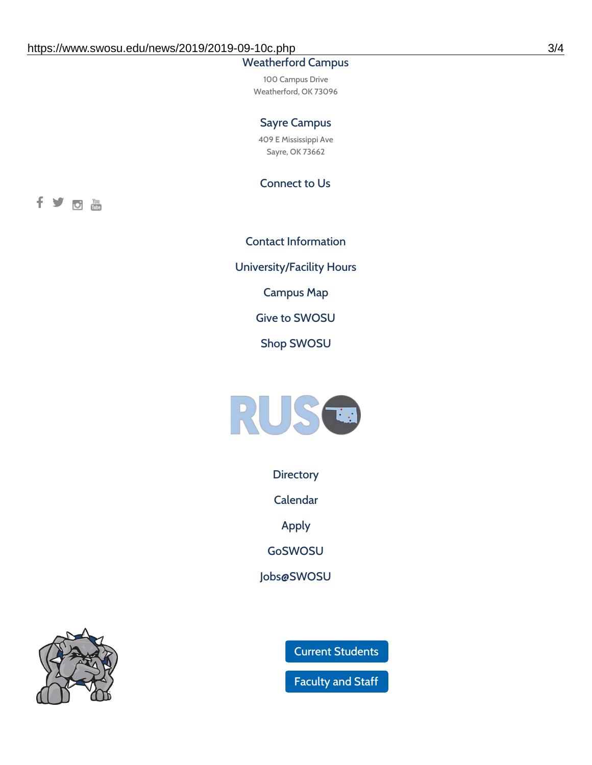### Weatherford Campus

100 Campus Drive Weatherford, OK 73096

#### Sayre Campus

409 E Mississippi Ave Sayre, OK 73662

Connect to Us

fyom

Contact [Information](https://www.swosu.edu/about/contact.php) [University/Facility](https://www.swosu.edu/about/operating-hours.php) Hours [Campus](https://map.concept3d.com/?id=768#!ct/10964,10214,10213,10212,10205,10204,10203,10202,10136,10129,10128,0,31226,10130,10201,10641,0) Map Give to [SWOSU](https://standingfirmly.com/donate) Shop [SWOSU](https://shopswosu.merchorders.com/)



**[Directory](https://www.swosu.edu/directory/index.php)** 

[Calendar](https://eventpublisher.dudesolutions.com/swosu/)

[Apply](https://www.swosu.edu/admissions/apply-to-swosu.php)

[GoSWOSU](https://qlsso.quicklaunchsso.com/home/1267)

[Jobs@SWOSU](https://swosu.csod.com/ux/ats/careersite/1/home?c=swosu)



Current [Students](https://bulldog.swosu.edu/index.php)

[Faculty](https://bulldog.swosu.edu/faculty-staff/index.php) and Staff